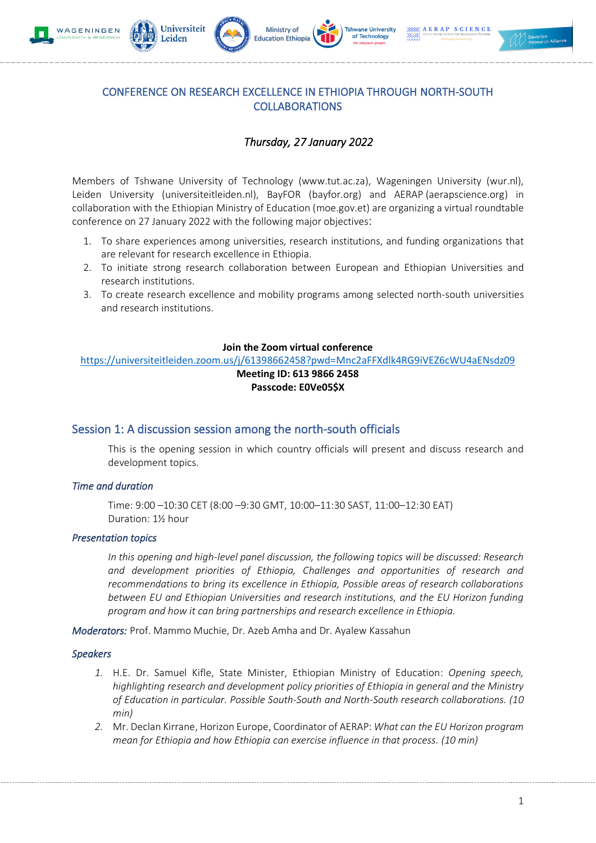









## CONFERENCE ON RESEARCH EXCELLENCE IN ETHIOPIA THROUGH NORTH-SOUTH COLLABORATIONS

# *Thursday, 27 January 2022*

Members of Tshwane University of Technology (www.tut.ac.za), Wageningen University (wur.nl), Leiden University (universiteitleiden.nl), BayFOR (bayfor.org) and AERAP (aerapscience.org) in collaboration with the Ethiopian Ministry of Education (moe.gov.et) are organizing a virtual roundtable conference on 27 January 2022 with the following major objectives:

- 1. To share experiences among universities, research institutions, and funding organizations that are relevant for research excellence in Ethiopia.
- 2. To initiate strong research collaboration between European and Ethiopian Universities and research institutions.
- 3. To create research excellence and mobility programs among selected north-south universities and research institutions.

### **Join the Zoom virtual conference**

<https://universiteitleiden.zoom.us/j/61398662458?pwd=Mnc2aFFXdlk4RG9iVEZ6cWU4aENsdz09> **Meeting ID: 613 9866 2458**

# **Passcode: E0Ve05\$X**

## Session 1: A discussion session among the north-south officials

This is the opening session in which country officials will present and discuss research and development topics.

## *Time and duration*

Time: 9:00 –10:30 CET (8:00 –9:30 GMT, 10:00–11:30 SAST, 11:00–12:30 EAT) Duration: 1½ hour

## *Presentation topics*

*In this opening and high-level panel discussion, the following topics will be discussed: Research and development priorities of Ethiopia, Challenges and opportunities of research and recommendations to bring its excellence in Ethiopia, Possible areas of research collaborations between EU and Ethiopian Universities and research institutions, and the EU Horizon funding program and how it can bring partnerships and research excellence in Ethiopia.*

*Moderators:* Prof. Mammo Muchie, Dr. Azeb Amha and Dr. Ayalew Kassahun

#### *Speakers*

- *1.* H.E. Dr. Samuel Kifle, State Minister, Ethiopian Ministry of Education: *Opening speech, highlighting research and development policy priorities of Ethiopia in general and the Ministry of Education in particular. Possible South-South and North-South research collaborations. (10 min)*
- *2.* Mr. Declan Kirrane, Horizon Europe, Coordinator of AERAP: *What can the EU Horizon program mean for Ethiopia and how Ethiopia can exercise influence in that process. (10 min)*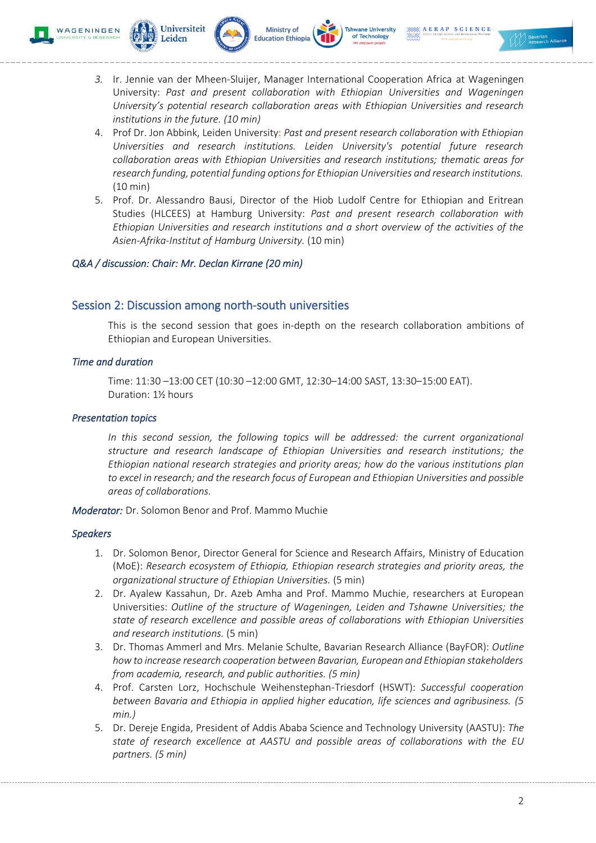







- *3.* Ir. Jennie van der Mheen-Sluijer, Manager International Cooperation Africa at Wageningen University: *Past and present collaboration with Ethiopian Universities and Wageningen University's potential research collaboration areas with Ethiopian Universities and research institutions in the future. (10 min)*
- 4. Prof Dr. Jon Abbink, Leiden University: *Past and present research collaboration with Ethiopian Universities and research institutions. Leiden University's potential future research collaboration areas with Ethiopian Universities and research institutions; thematic areas for research funding, potential funding options for Ethiopian Universities and research institutions.*  (10 min)
- 5. Prof. Dr. Alessandro Bausi, Director of the Hiob Ludolf Centre for Ethiopian and Eritrean Studies (HLCEES) at Hamburg University: *Past and present research collaboration with Ethiopian Universities and research institutions and a short overview of the activities of the Asien-Afrika-Institut of Hamburg University.* (10 min)

### *Q&A / discussion: Chair: Mr. Declan Kirrane (20 min)*

## Session 2: Discussion among north-south universities

This is the second session that goes in-depth on the research collaboration ambitions of Ethiopian and European Universities.

#### *Time and duration*

Time: 11:30 –13:00 CET (10:30 –12:00 GMT, 12:30–14:00 SAST, 13:30–15:00 EAT). Duration: 1½ hours

#### *Presentation topics*

In this second session, the following topics will be addressed; the current organizational *structure and research landscape of Ethiopian Universities and research institutions; the Ethiopian national research strategies and priority areas; how do the various institutions plan to excel in research; and the research focus of European and Ethiopian Universities and possible areas of collaborations.*

*Moderator:* Dr. Solomon Benor and Prof. Mammo Muchie

#### *Speakers*

- 1. Dr. Solomon Benor, Director General for Science and Research Affairs, Ministry of Education (MoE): *Research ecosystem of Ethiopia, Ethiopian research strategies and priority areas, the organizational structure of Ethiopian Universities.* (5 min)
- 2. Dr. Ayalew Kassahun, Dr. Azeb Amha and Prof. Mammo Muchie, researchers at European Universities: *Outline of the structure of Wageningen, Leiden and Tshawne Universities; the state of research excellence and possible areas of collaborations with Ethiopian Universities and research institutions.* (5 min)
- 3. Dr. Thomas Ammerl and Mrs. Melanie Schulte, Bavarian Research Alliance (BayFOR): *Outline how to increase research cooperation between Bavarian, European and Ethiopian stakeholders from academia, research, and public authorities. (5 min)*
- 4. Prof. Carsten Lorz, Hochschule Weihenstephan-Triesdorf (HSWT): *Successful cooperation between Bavaria and Ethiopia in applied higher education, life sciences and agribusiness. (5 min.)*
- 5. Dr. Dereje Engida, President of Addis Ababa Science and Technology University (AASTU): *The state of research excellence at AASTU and possible areas of collaborations with the EU partners. (5 min)*